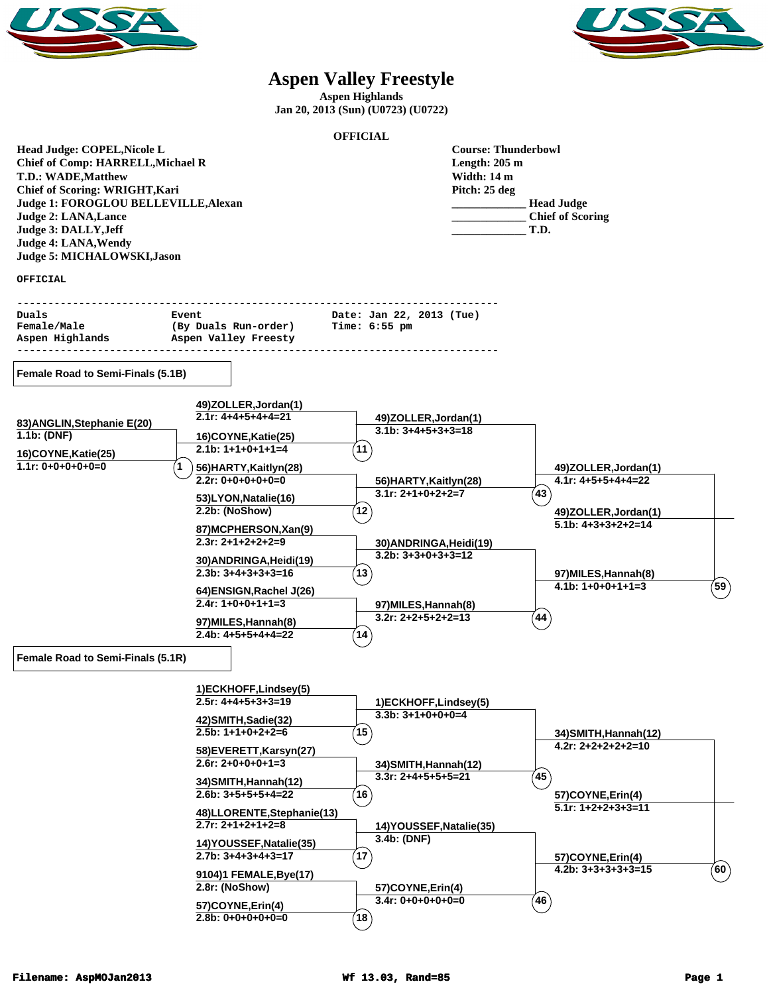



## **Aspen Valley Freestyle**

**Aspen Highlands Jan 20, 2013 (Sun) (U0723) (U0722)**

|                                          |                                             | <b>OFFICIAL</b>                                 |               |                         |                     |
|------------------------------------------|---------------------------------------------|-------------------------------------------------|---------------|-------------------------|---------------------|
| Head Judge: COPEL, Nicole L              |                                             | <b>Course: Thunderbowl</b>                      |               |                         |                     |
| <b>Chief of Comp: HARRELL, Michael R</b> |                                             | Length: $205 \text{ m}$                         |               |                         |                     |
| <b>T.D.: WADE, Matthew</b>               |                                             |                                                 | Width: 14 m   |                         |                     |
| Chief of Scoring: WRIGHT, Kari           |                                             |                                                 | Pitch: 25 deg |                         |                     |
| Judge 1: FOROGLOU BELLEVILLE, Alexan     |                                             |                                                 |               | <b>Head Judge</b>       |                     |
| <b>Judge 2: LANA, Lance</b>              |                                             |                                                 |               | <b>Chief of Scoring</b> |                     |
| Judge 3: DALLY, Jeff                     |                                             |                                                 |               | T.D.                    |                     |
| Judge 4: LANA, Wendy                     |                                             |                                                 |               |                         |                     |
| Judge 5: MICHALOWSKI, Jason              |                                             |                                                 |               |                         |                     |
| <b>OFFICIAL</b>                          |                                             |                                                 |               |                         |                     |
|                                          |                                             |                                                 |               |                         |                     |
| Duals                                    | Event                                       | Date: Jan 22, 2013 (Tue)                        |               |                         |                     |
| Female/Male                              | (By Duals Run-order)                        | Time: 6:55 pm                                   |               |                         |                     |
| Aspen Highlands                          | Aspen Valley Freesty                        |                                                 |               |                         |                     |
|                                          |                                             |                                                 |               |                         |                     |
| Female Road to Semi-Finals (5.1B)        |                                             |                                                 |               |                         |                     |
|                                          | 49)ZOLLER, Jordan(1)                        |                                                 |               |                         |                     |
| 83) ANGLIN, Stephanie E(20)              | $2.1r: 4+4+5+4+4=21$                        | 49)ZOLLER, Jordan(1)                            |               |                         |                     |
| 1.1b: (DNF)                              | 16)COYNE, Katie(25)                         | $3.1b: 3+4+5+3+3=18$                            |               |                         |                     |
| 16)COYNE, Katie(25)                      | $2.1b: 1+1+0+1+1=4$                         | $^{\prime}$ 11                                  |               |                         |                     |
| $1.1r: 0+0+0+0+0=0$                      | 56)HARTY, Kaitlyn(28)                       |                                                 |               | 49)ZOLLER, Jordan(1)    |                     |
|                                          | $2.2r: 0+0+0+0+0=0$                         | 56) HARTY, Kaitlyn(28)                          |               | $4.1r: 4+5+5+4+4=22$    |                     |
|                                          | 53)LYON, Natalie(16)                        | $3.1r: 2+1+0+2+2=7$                             |               | $^{(43)}$               |                     |
|                                          | 2.2b: (NoShow)                              | $^{\prime}$ 12 $^{\prime}$                      |               | 49)ZOLLER, Jordan(1)    |                     |
|                                          |                                             |                                                 |               | $5.1b: 4+3+3+2+2=14$    |                     |
|                                          | 87)MCPHERSON, Xan(9)<br>$2.3r: 2+1+2+2+2=9$ |                                                 |               |                         |                     |
|                                          |                                             | 30) ANDRINGA, Heidi(19)<br>$3.2b: 3+3+0+3+3=12$ |               |                         |                     |
|                                          | 30) ANDRINGA, Heidi(19)                     |                                                 |               |                         |                     |
|                                          | $2.3b: 3+4+3+3+3=16$                        | 13                                              |               | 97) MILES, Hannah(8)    |                     |
|                                          | 64)ENSIGN,Rachel J(26)                      |                                                 |               | $4.1b: 1+0+0+1+1=3$     | $^{'}$ 59 $\rangle$ |
|                                          | $2.4r: 1+0+0+1+1=3$                         | 97) MILES, Hannah(8)                            |               |                         |                     |
|                                          | 97) MILES, Hannah(8)                        | $3.2r: 2+2+5+2+2=13$                            |               | (44)                    |                     |
|                                          | $2.4b: 4+5+5+4+4=22$                        | $^{\prime}$ 14                                  |               |                         |                     |
| Female Road to Semi-Finals (5.1R)        |                                             |                                                 |               |                         |                     |
|                                          |                                             |                                                 |               |                         |                     |
|                                          | 1)ECKHOFF, Lindsey(5)                       |                                                 |               |                         |                     |
|                                          | $2.5r: 4+4+5+3+3=19$                        | 1)ECKHOFF, Lindsey(5)                           |               |                         |                     |
|                                          |                                             | $3.3b: 3+1+0+0+0=4$                             |               |                         |                     |
|                                          | 42)SMITH,Sadie(32)<br>$2.5b: 1+1+0+2+2=6$   | $15^{\circ}$                                    |               | 34) SMITH, Hannah (12)  |                     |
|                                          |                                             |                                                 |               | $4.2r: 2+2+2+2+2=10$    |                     |
|                                          | 58)EVERETT, Karsyn(27)                      |                                                 |               |                         |                     |
|                                          | $2.6r: 2+0+0+0+1=3$                         | 34) SMITH, Hannah (12)<br>$3.3r: 2+4+5+5+5=21$  |               | $\left( 45\right)$      |                     |
|                                          | 34) SMITH, Hannah (12)                      |                                                 |               |                         |                     |
|                                          | $2.6b: 3+5+5+5+4=22$                        | $^{\prime}$ 16 $^{\prime}$                      |               | 57)COYNE, Erin(4)       |                     |
|                                          | 48)LLORENTE, Stephanie(13)                  |                                                 |               | $5.1r: 1+2+2+3+3=11$    |                     |
|                                          | $2.7r: 2+1+2+1+2=8$                         | 14) YOUSSEF, Natalie(35)                        |               |                         |                     |
|                                          | 14) YOUSSEF, Natalie(35)                    | 3.4b: (DNF)                                     |               |                         |                     |
|                                          | $2.7b: 3+4+3+4+3=17$                        | $^{\prime}$ 17 $^{\prime}$                      |               | 57)COYNE, Erin(4)       |                     |
|                                          | 9104)1 FEMALE, Bye(17)                      |                                                 |               | $4.2b: 3+3+3+3+3=15$    | $($ 60 $)$          |
|                                          | 2.8r: (NoShow)                              | 57)COYNE, Erin(4)                               |               |                         |                     |
|                                          |                                             | $3.4r: 0+0+0+0+0=0$                             |               | 46                      |                     |
|                                          | 57)COYNE, Erin(4)                           |                                                 |               |                         |                     |
|                                          | $2.8b: 0+0+0+0+0=0$                         | $^{\prime}$ 18 $^{\prime}$                      |               |                         |                     |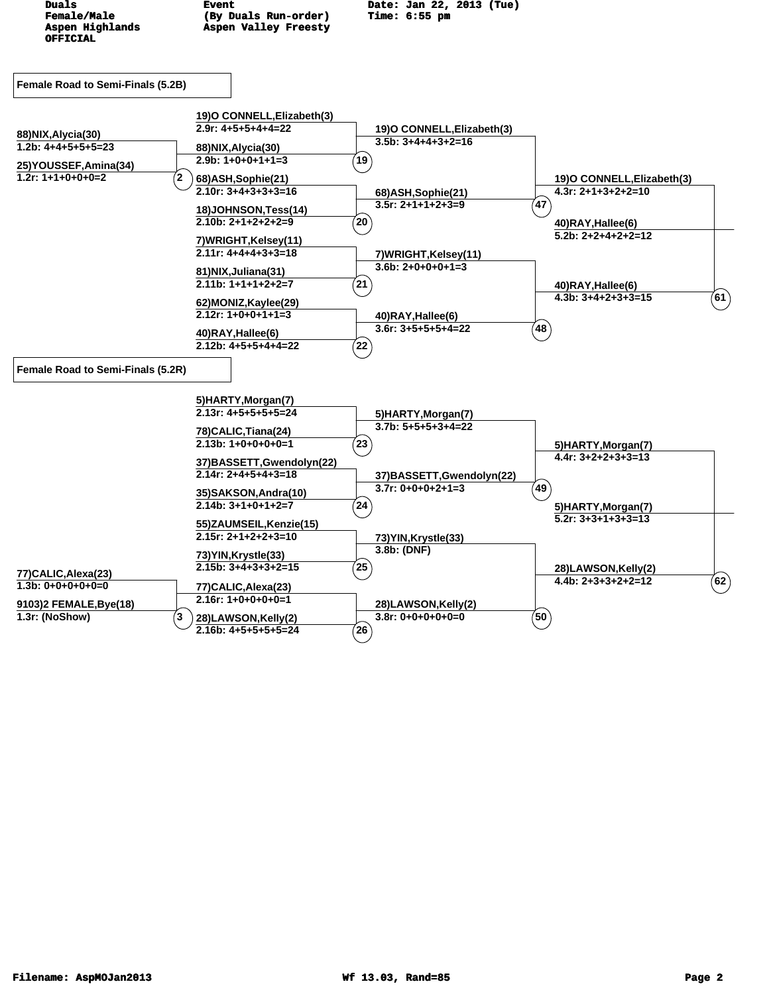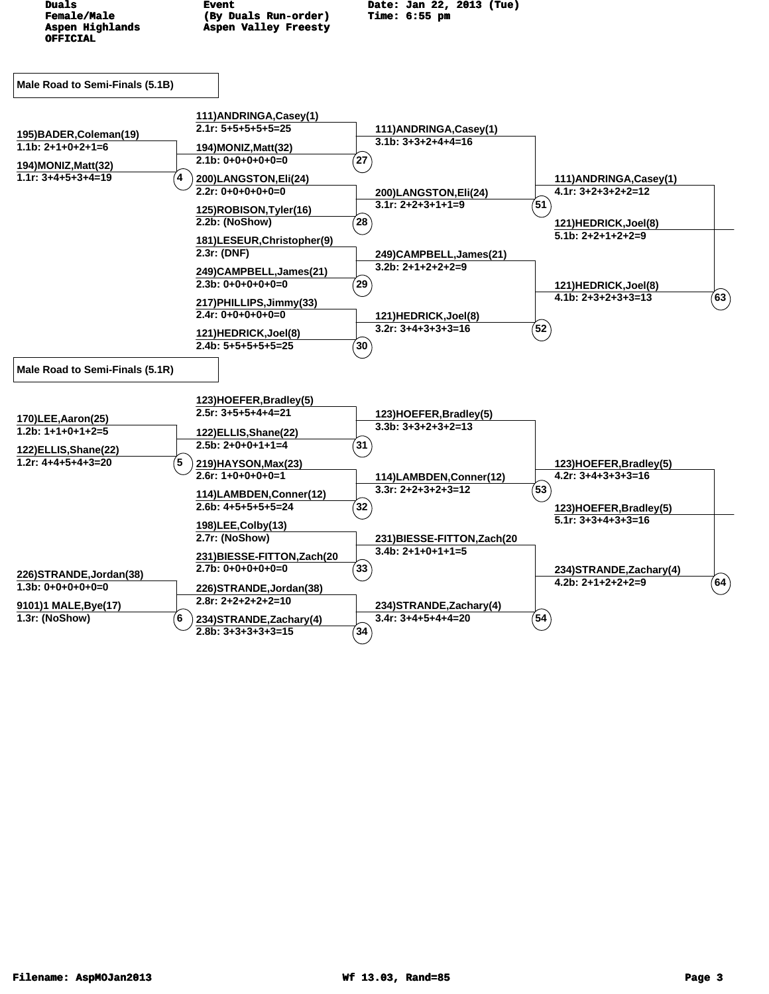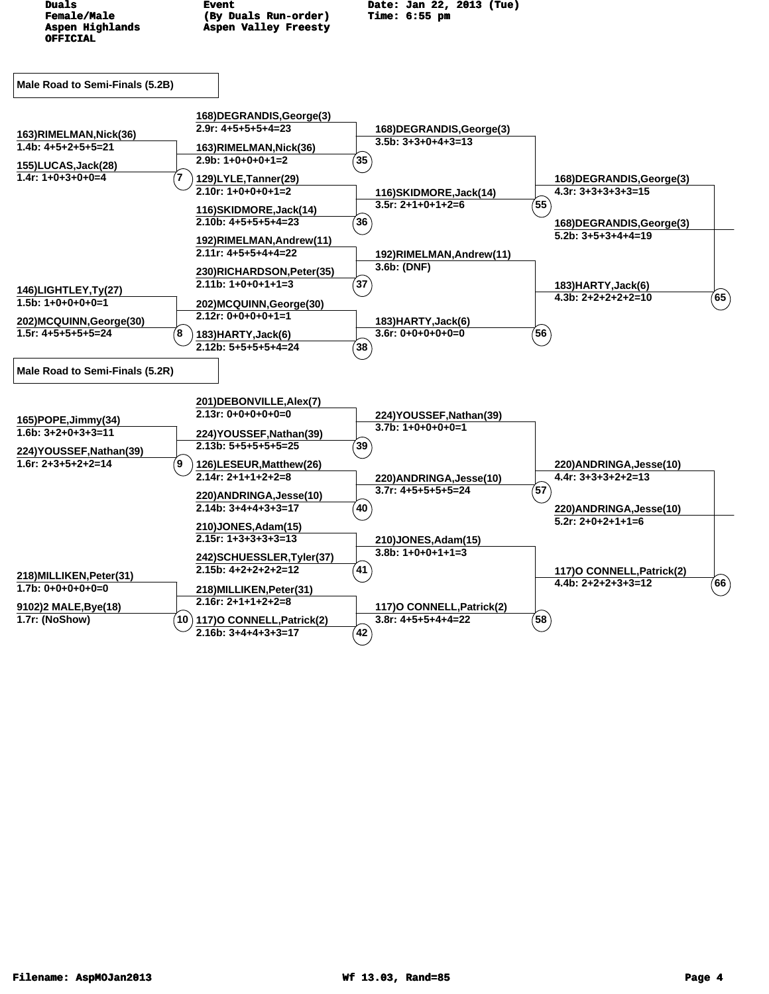